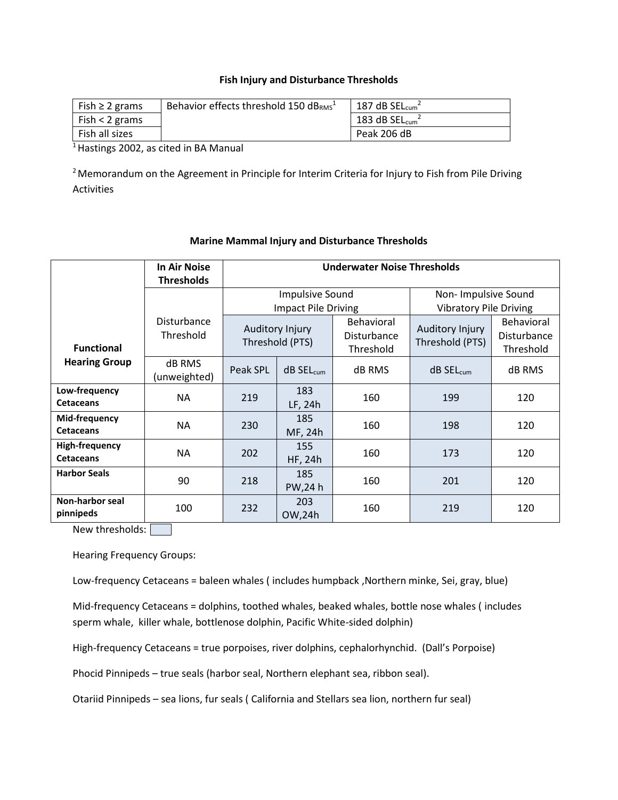#### **Fish Injury and Disturbance Thresholds**

| Fish $\geq 2$ grams | Behavior effects threshold 150 dBRMS <sup>1</sup> | 187 dB $SEL_{cum}^2$ |
|---------------------|---------------------------------------------------|----------------------|
| Fish $<$ 2 grams    |                                                   | 183 dB $SEL_{cum}^2$ |
| Fish all sizes      |                                                   | Peak 206 dB          |

<sup>1</sup> Hastings 2002, as cited in BA Manual

<sup>2</sup> Memorandum on the Agreement in Principle for Interim Criteria for Injury to Fish from Pile Driving Activities

|                                           | <b>In Air Noise</b>           | <b>Underwater Noise Thresholds</b> |                       |                               |                                    |               |
|-------------------------------------------|-------------------------------|------------------------------------|-----------------------|-------------------------------|------------------------------------|---------------|
|                                           | <b>Thresholds</b>             |                                    |                       |                               |                                    |               |
|                                           |                               | <b>Impulsive Sound</b>             |                       | Non-Impulsive Sound           |                                    |               |
|                                           |                               | <b>Impact Pile Driving</b>         |                       | <b>Vibratory Pile Driving</b> |                                    |               |
|                                           | Disturbance                   |                                    |                       | Behavioral                    |                                    | Behavioral    |
|                                           | Threshold                     | Auditory Injury<br>Threshold (PTS) |                       | Disturbance                   | Auditory Injury<br>Threshold (PTS) | Disturbance   |
| <b>Functional</b>                         |                               |                                    |                       | Threshold                     |                                    | Threshold     |
| <b>Hearing Group</b>                      | <b>dB RMS</b><br>(unweighted) | Peak SPL                           | dB SEL <sub>cum</sub> | dB RMS                        | dB SEL <sub>cum</sub>              | <b>dB RMS</b> |
| Low-frequency<br><b>Cetaceans</b>         | <b>NA</b>                     | 219                                | 183<br>LF, 24h        | 160                           | 199                                | 120           |
| Mid-frequency<br><b>Cetaceans</b>         | <b>NA</b>                     | 230                                | 185<br>MF, 24h        | 160                           | 198                                | 120           |
| <b>High-frequency</b><br><b>Cetaceans</b> | NA                            | 202                                | 155<br>HF, 24h        | 160                           | 173                                | 120           |
| <b>Harbor Seals</b>                       | 90                            | 218                                | 185<br>PW,24 h        | 160                           | 201                                | 120           |
| <b>Non-harbor seal</b><br>pinnipeds       | 100                           | 232                                | 203<br>OW,24h         | 160                           | 219                                | 120           |

#### **Marine Mammal Injury and Disturbance Thresholds**

New thresholds:

Hearing Frequency Groups:

Low-frequency Cetaceans = baleen whales ( includes humpback ,Northern minke, Sei, gray, blue)

Mid-frequency Cetaceans = dolphins, toothed whales, beaked whales, bottle nose whales ( includes sperm whale, killer whale, bottlenose dolphin, Pacific White-sided dolphin)

High-frequency Cetaceans = true porpoises, river dolphins, cephalorhynchid. (Dall's Porpoise)

Phocid Pinnipeds – true seals (harbor seal, Northern elephant sea, ribbon seal).

Otariid Pinnipeds – sea lions, fur seals ( California and Stellars sea lion, northern fur seal)